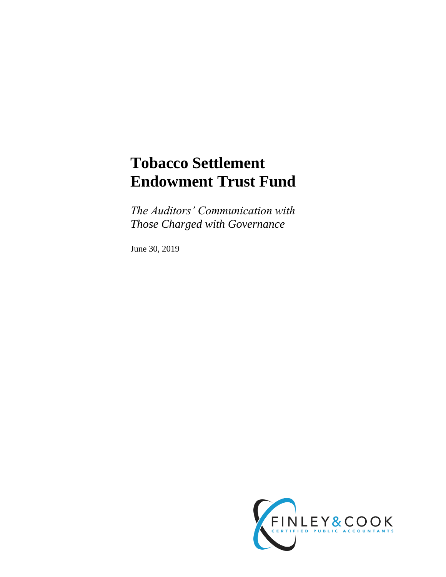# **Tobacco Settlement Endowment Trust Fund**

*The Auditors' Communication with Those Charged with Governance*

June 30, 2019

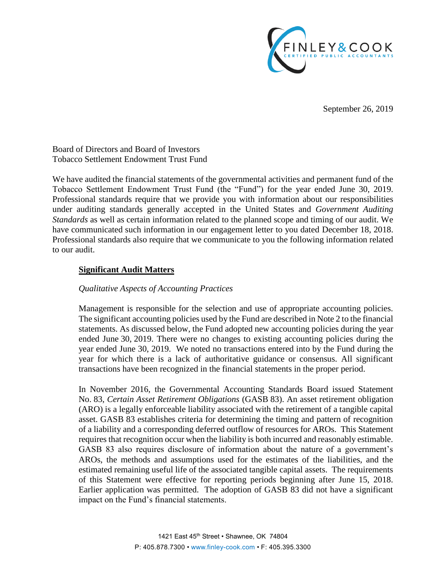

September 26, 2019

Board of Directors and Board of Investors Tobacco Settlement Endowment Trust Fund

We have audited the financial statements of the governmental activities and permanent fund of the Tobacco Settlement Endowment Trust Fund (the "Fund") for the year ended June 30, 2019. Professional standards require that we provide you with information about our responsibilities under auditing standards generally accepted in the United States and *Government Auditing Standards* as well as certain information related to the planned scope and timing of our audit. We have communicated such information in our engagement letter to you dated December 18, 2018. Professional standards also require that we communicate to you the following information related to our audit.

## **Significant Audit Matters**

## *Qualitative Aspects of Accounting Practices*

Management is responsible for the selection and use of appropriate accounting policies. The significant accounting policies used by the Fund are described in Note 2 to the financial statements. As discussed below, the Fund adopted new accounting policies during the year ended June 30, 2019. There were no changes to existing accounting policies during the year ended June 30, 2019. We noted no transactions entered into by the Fund during the year for which there is a lack of authoritative guidance or consensus. All significant transactions have been recognized in the financial statements in the proper period.

In November 2016, the Governmental Accounting Standards Board issued Statement No. 83, *Certain Asset Retirement Obligations* (GASB 83). An asset retirement obligation (ARO) is a legally enforceable liability associated with the retirement of a tangible capital asset. GASB 83 establishes criteria for determining the timing and pattern of recognition of a liability and a corresponding deferred outflow of resources for AROs. This Statement requires that recognition occur when the liability is both incurred and reasonably estimable. GASB 83 also requires disclosure of information about the nature of a government's AROs, the methods and assumptions used for the estimates of the liabilities, and the estimated remaining useful life of the associated tangible capital assets. The requirements of this Statement were effective for reporting periods beginning after June 15, 2018. Earlier application was permitted. The adoption of GASB 83 did not have a significant impact on the Fund's financial statements.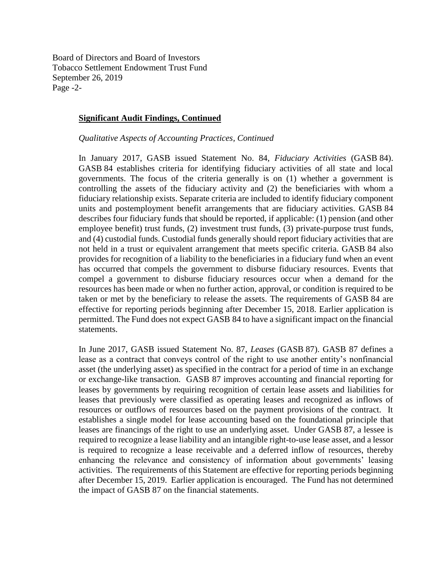Board of Directors and Board of Investors Tobacco Settlement Endowment Trust Fund September 26, 2019 Page -2-

#### **Significant Audit Findings, Continued**

*Qualitative Aspects of Accounting Practices, Continued*

In January 2017, GASB issued Statement No. 84, *Fiduciary Activities* (GASB 84). GASB 84 establishes criteria for identifying fiduciary activities of all state and local governments. The focus of the criteria generally is on (1) whether a government is controlling the assets of the fiduciary activity and (2) the beneficiaries with whom a fiduciary relationship exists. Separate criteria are included to identify fiduciary component units and postemployment benefit arrangements that are fiduciary activities. GASB 84 describes four fiduciary funds that should be reported, if applicable: (1) pension (and other employee benefit) trust funds, (2) investment trust funds, (3) private-purpose trust funds, and (4) custodial funds. Custodial funds generally should report fiduciary activities that are not held in a trust or equivalent arrangement that meets specific criteria. GASB 84 also provides for recognition of a liability to the beneficiaries in a fiduciary fund when an event has occurred that compels the government to disburse fiduciary resources. Events that compel a government to disburse fiduciary resources occur when a demand for the resources has been made or when no further action, approval, or condition is required to be taken or met by the beneficiary to release the assets. The requirements of GASB 84 are effective for reporting periods beginning after December 15, 2018. Earlier application is permitted. The Fund does not expect GASB 84 to have a significant impact on the financial statements.

In June 2017, GASB issued Statement No. 87, *Leases* (GASB 87). GASB 87 defines a lease as a contract that conveys control of the right to use another entity's nonfinancial asset (the underlying asset) as specified in the contract for a period of time in an exchange or exchange-like transaction. GASB 87 improves accounting and financial reporting for leases by governments by requiring recognition of certain lease assets and liabilities for leases that previously were classified as operating leases and recognized as inflows of resources or outflows of resources based on the payment provisions of the contract. It establishes a single model for lease accounting based on the foundational principle that leases are financings of the right to use an underlying asset. Under GASB 87, a lessee is required to recognize a lease liability and an intangible right-to-use lease asset, and a lessor is required to recognize a lease receivable and a deferred inflow of resources, thereby enhancing the relevance and consistency of information about governments' leasing activities. The requirements of this Statement are effective for reporting periods beginning after December 15, 2019. Earlier application is encouraged. The Fund has not determined the impact of GASB 87 on the financial statements.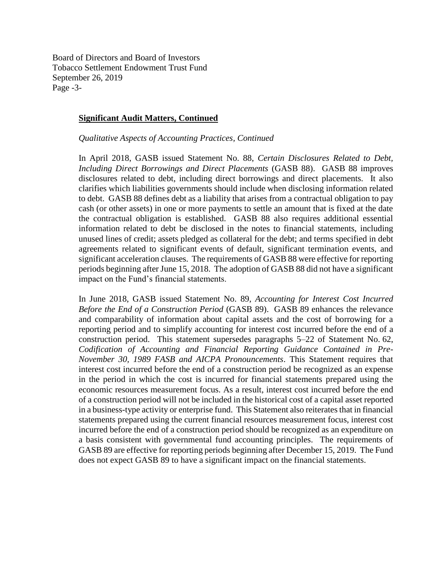Board of Directors and Board of Investors Tobacco Settlement Endowment Trust Fund September 26, 2019 Page -3-

#### **Significant Audit Matters, Continued**

*Qualitative Aspects of Accounting Practices, Continued*

In April 2018, GASB issued Statement No. 88, *Certain Disclosures Related to Debt, Including Direct Borrowings and Direct Placements* (GASB 88). GASB 88 improves disclosures related to debt, including direct borrowings and direct placements. It also clarifies which liabilities governments should include when disclosing information related to debt. GASB 88 defines debt as a liability that arises from a contractual obligation to pay cash (or other assets) in one or more payments to settle an amount that is fixed at the date the contractual obligation is established. GASB 88 also requires additional essential information related to debt be disclosed in the notes to financial statements, including unused lines of credit; assets pledged as collateral for the debt; and terms specified in debt agreements related to significant events of default, significant termination events, and significant acceleration clauses. The requirements of GASB 88 were effective for reporting periods beginning after June 15, 2018. The adoption of GASB 88 did not have a significant impact on the Fund's financial statements.

In June 2018, GASB issued Statement No. 89, *Accounting for Interest Cost Incurred Before the End of a Construction Period* (GASB 89). GASB 89 enhances the relevance and comparability of information about capital assets and the cost of borrowing for a reporting period and to simplify accounting for interest cost incurred before the end of a construction period. This statement supersedes paragraphs 5–22 of Statement No. 62, *Codification of Accounting and Financial Reporting Guidance Contained in Pre-November 30, 1989 FASB and AICPA Pronouncements*. This Statement requires that interest cost incurred before the end of a construction period be recognized as an expense in the period in which the cost is incurred for financial statements prepared using the economic resources measurement focus. As a result, interest cost incurred before the end of a construction period will not be included in the historical cost of a capital asset reported in a business-type activity or enterprise fund. This Statement also reiterates that in financial statements prepared using the current financial resources measurement focus, interest cost incurred before the end of a construction period should be recognized as an expenditure on a basis consistent with governmental fund accounting principles. The requirements of GASB 89 are effective for reporting periods beginning after December 15, 2019. The Fund does not expect GASB 89 to have a significant impact on the financial statements.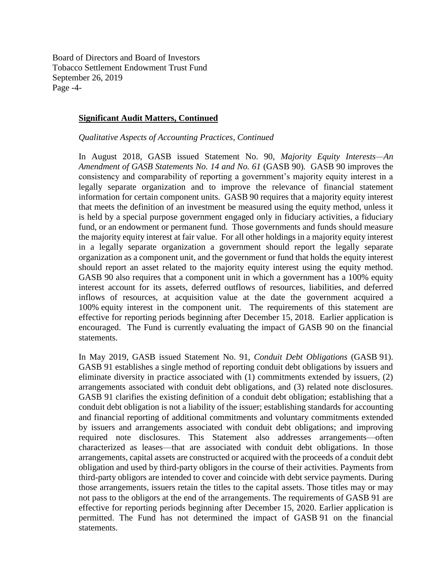Board of Directors and Board of Investors Tobacco Settlement Endowment Trust Fund September 26, 2019 Page -4-

#### **Significant Audit Matters, Continued**

*Qualitative Aspects of Accounting Practices, Continued*

In August 2018, GASB issued Statement No. 90, *Majority Equity Interests—An Amendment of GASB Statements No. 14 and No. 61* (GASB 90)*.* GASB 90 improves the consistency and comparability of reporting a government's majority equity interest in a legally separate organization and to improve the relevance of financial statement information for certain component units. GASB 90 requires that a majority equity interest that meets the definition of an investment be measured using the equity method, unless it is held by a special purpose government engaged only in fiduciary activities, a fiduciary fund, or an endowment or permanent fund. Those governments and funds should measure the majority equity interest at fair value. For all other holdings in a majority equity interest in a legally separate organization a government should report the legally separate organization as a component unit, and the government or fund that holds the equity interest should report an asset related to the majority equity interest using the equity method. GASB 90 also requires that a component unit in which a government has a 100% equity interest account for its assets, deferred outflows of resources, liabilities, and deferred inflows of resources, at acquisition value at the date the government acquired a 100% equity interest in the component unit. The requirements of this statement are effective for reporting periods beginning after December 15, 2018. Earlier application is encouraged. The Fund is currently evaluating the impact of GASB 90 on the financial statements.

In May 2019, GASB issued Statement No. 91, *Conduit Debt Obligations* (GASB 91). GASB 91 establishes a single method of reporting conduit debt obligations by issuers and eliminate diversity in practice associated with (1) commitments extended by issuers, (2) arrangements associated with conduit debt obligations, and (3) related note disclosures. GASB 91 clarifies the existing definition of a conduit debt obligation; establishing that a conduit debt obligation is not a liability of the issuer; establishing standards for accounting and financial reporting of additional commitments and voluntary commitments extended by issuers and arrangements associated with conduit debt obligations; and improving required note disclosures. This Statement also addresses arrangements—often characterized as leases—that are associated with conduit debt obligations. In those arrangements, capital assets are constructed or acquired with the proceeds of a conduit debt obligation and used by third-party obligors in the course of their activities. Payments from third-party obligors are intended to cover and coincide with debt service payments. During those arrangements, issuers retain the titles to the capital assets. Those titles may or may not pass to the obligors at the end of the arrangements. The requirements of GASB 91 are effective for reporting periods beginning after December 15, 2020. Earlier application is permitted. The Fund has not determined the impact of GASB 91 on the financial statements.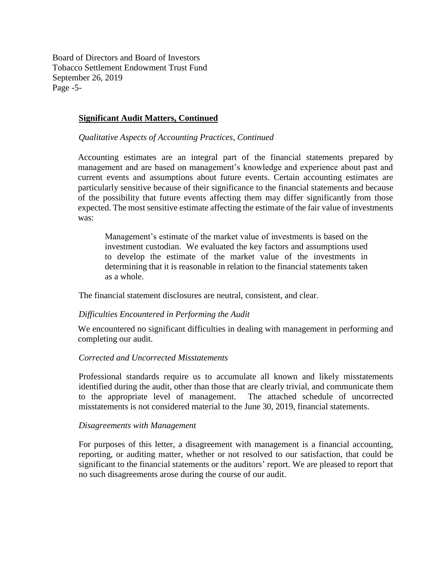Board of Directors and Board of Investors Tobacco Settlement Endowment Trust Fund September 26, 2019 Page -5-

#### **Significant Audit Matters, Continued**

#### *Qualitative Aspects of Accounting Practices, Continued*

Accounting estimates are an integral part of the financial statements prepared by management and are based on management's knowledge and experience about past and current events and assumptions about future events. Certain accounting estimates are particularly sensitive because of their significance to the financial statements and because of the possibility that future events affecting them may differ significantly from those expected. The most sensitive estimate affecting the estimate of the fair value of investments was:

Management's estimate of the market value of investments is based on the investment custodian. We evaluated the key factors and assumptions used to develop the estimate of the market value of the investments in determining that it is reasonable in relation to the financial statements taken as a whole.

The financial statement disclosures are neutral, consistent, and clear.

#### *Difficulties Encountered in Performing the Audit*

We encountered no significant difficulties in dealing with management in performing and completing our audit.

#### *Corrected and Uncorrected Misstatements*

Professional standards require us to accumulate all known and likely misstatements identified during the audit, other than those that are clearly trivial, and communicate them to the appropriate level of management. The attached schedule of uncorrected misstatements is not considered material to the June 30, 2019, financial statements.

#### *Disagreements with Management*

For purposes of this letter, a disagreement with management is a financial accounting, reporting, or auditing matter, whether or not resolved to our satisfaction, that could be significant to the financial statements or the auditors' report. We are pleased to report that no such disagreements arose during the course of our audit.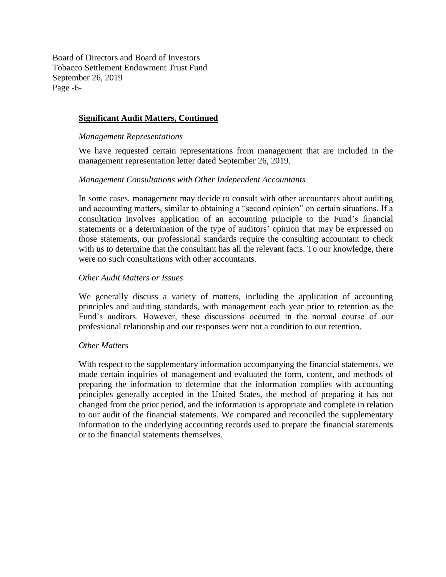Board of Directors and Board of Investors Tobacco Settlement Endowment Trust Fund September 26, 2019 Page -6-

## **Significant Audit Matters, Continued**

#### *Management Representations*

We have requested certain representations from management that are included in the management representation letter dated September 26, 2019.

#### *Management Consultations with Other Independent Accountants*

In some cases, management may decide to consult with other accountants about auditing and accounting matters, similar to obtaining a "second opinion" on certain situations. If a consultation involves application of an accounting principle to the Fund's financial statements or a determination of the type of auditors' opinion that may be expressed on those statements, our professional standards require the consulting accountant to check with us to determine that the consultant has all the relevant facts. To our knowledge, there were no such consultations with other accountants.

#### *Other Audit Matters or Issues*

We generally discuss a variety of matters, including the application of accounting principles and auditing standards, with management each year prior to retention as the Fund's auditors. However, these discussions occurred in the normal course of our professional relationship and our responses were not a condition to our retention.

## *Other Matters*

With respect to the supplementary information accompanying the financial statements, we made certain inquiries of management and evaluated the form, content, and methods of preparing the information to determine that the information complies with accounting principles generally accepted in the United States, the method of preparing it has not changed from the prior period, and the information is appropriate and complete in relation to our audit of the financial statements. We compared and reconciled the supplementary information to the underlying accounting records used to prepare the financial statements or to the financial statements themselves.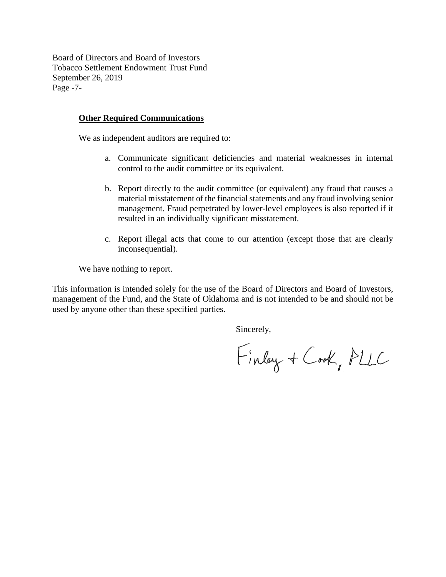Board of Directors and Board of Investors Tobacco Settlement Endowment Trust Fund September 26, 2019 Page -7-

#### **Other Required Communications**

We as independent auditors are required to:

- a. Communicate significant deficiencies and material weaknesses in internal control to the audit committee or its equivalent.
- b. Report directly to the audit committee (or equivalent) any fraud that causes a material misstatement of the financial statements and any fraud involving senior management. Fraud perpetrated by lower-level employees is also reported if it resulted in an individually significant misstatement.
- c. Report illegal acts that come to our attention (except those that are clearly inconsequential).

We have nothing to report.

This information is intended solely for the use of the Board of Directors and Board of Investors, management of the Fund, and the State of Oklahoma and is not intended to be and should not be used by anyone other than these specified parties.

Sincerely,

Finlay + Cook, PLLC